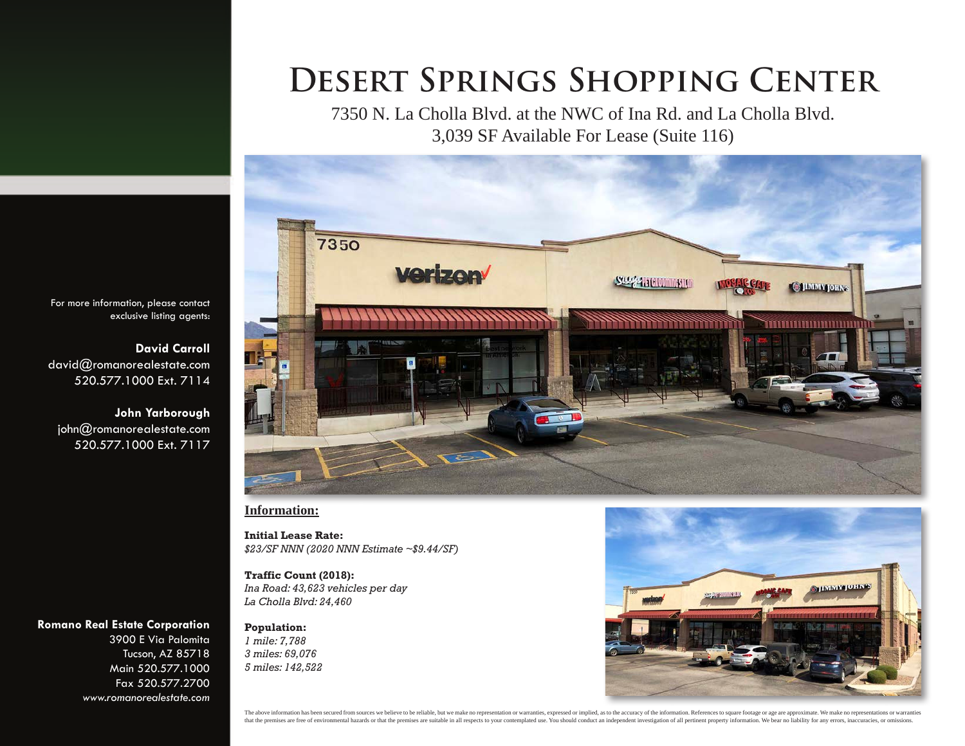7350 N. La Cholla Blvd. at the NWC of Ina Rd. and La Cholla Blvd. 3,039 SF Available For Lease (Suite 116)



**Information:**

**Initial Lease Rate:** *\$23/SF NNN (2020 NNN Estimate ~\$9.44/SF)*

**Traffic Count (2018):** *Ina Road: 43,623 vehicles per day La Cholla Blvd: 24,460*

**Population:** *1 mile: 7,788 3 miles: 69,076 5 miles: 142,522*



For more information, please contact exclusive listing agents:

**David Carroll** david@romanorealestate.com 520.577.1000 Ext. 7114

**John Yarborough** john@romanorealestate.com 520.577.1000 Ext. 7117

#### **Romano Real Estate Corporation**

3900 E Via Palomita Tucson, AZ 85718 Main 520.577.1000 Fax 520.577.2700 *www.romanorealestate.com*

> The above information has been secured from sources we believe to be reliable, but we make no representation or warranties, expressed or implied, as to the accuracy of the information. References to square footage or age a that the premises are free of environmental hazards or that the premises are suitable in all respects to your contemplated use. You should conduct an independent investigation of all pertinent property information. We bear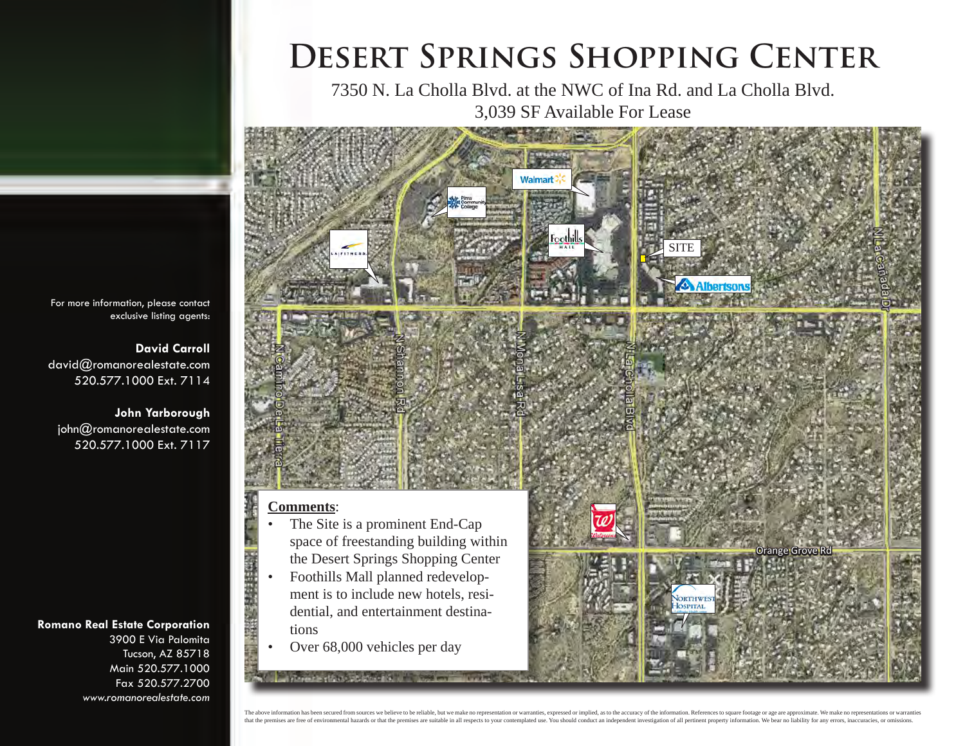7350 N. La Cholla Blvd. at the NWC of Ina Rd. and La Cholla Blvd. 3,039 SF Available For Lease



### **Comments**:

- The Site is a prominent End-Cap space of freestanding building within the Desert Springs Shopping Center
- Foothills Mall planned redevelopment is to include new hotels, residential, and entertainment destinations
- Over 68,000 vehicles per day

stream in the complete sets. The complete

For more information, please contact exclusive listing agents:

**David Carroll** david@romanorealestate.com 520.577.1000 Ext. 7114

**John Yarborough** john@romanorealestate.com 520.577.1000 Ext. 7117

### **Romano Real Estate Corporation**

3900 E Via Palomita Tucson, AZ 85718 Main 520.577.1000 Fax 520.577.2700 *www.romanorealestate.com*

> The above information has been secured from sources we believe to be reliable, but we make no representation or warranties, expressed or implied, as to the accuracy of the information. References to square footage or age a that the premises are free of environmental hazards or that the premises are suitable in all respects to your contemplated use. You should conduct an independent investigation of all pertinent property information. We bear

Orange Grove Rd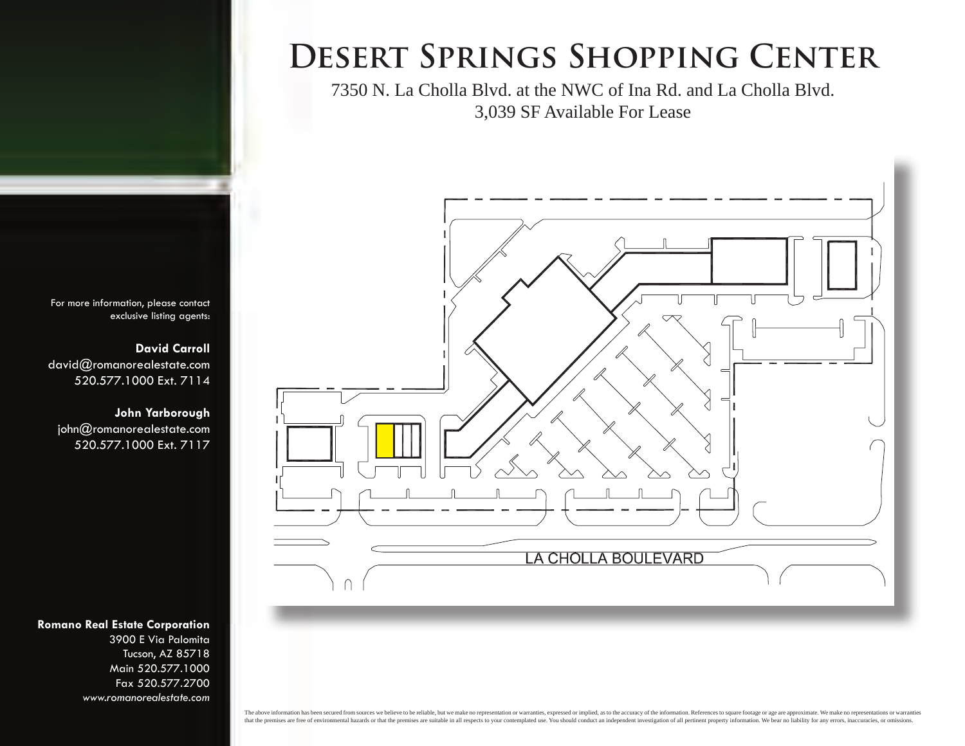7350 N. La Cholla Blvd. at the NWC of Ina Rd. and La Cholla Blvd. 3,039 SF Available For Lease



For more information, please contact exclusive listing agents:

**David Carroll** david@romanorealestate.com 520.577.1000 Ext. 7114

**John Yarborough** john@romanorealestate.com 520.577.1000 Ext. 7117

### **Romano Real Estate Corporation**

3900 E Via Palomita Tucson, AZ 85718 Main 520.577.1000 Fax 520.577.2700 *www.romanorealestate.com*

> The above information has been secured from sources we believe to be reliable, but we make no representation or warranties, expressed or implied, as to the accuracy of the information. References to square footage or age a that the premises are free of environmental hazards or that the premises are suitable in all respects to your contemplated use. You should conduct an independent investigation of all pertinent property information. We bear